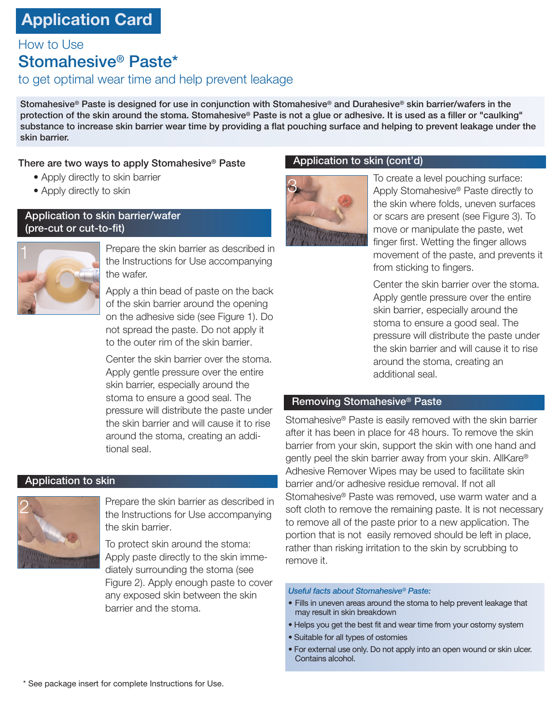# **Application Card**

How to Use

## Stomahesive® Paste\*

## to get optimal wear time and help prevent leakage

Stomahesive® Paste is designed for use in conjunction with Stomahesive® and Durahesive® skin barrier/wafers in the protection of the skin around the stoma. Stomahesive® Paste is not a glue or adhesive. It is used as a filler or "caulking" substance to increase skin barrier wear time by providing a flat pouching surface and helping to prevent leakage under the skin barrier.

## There are two ways to apply Stomahesive® Paste

- Apply directly to skin barrier
- Apply directly to skin

## Application to skin barrier/wafer (pre-cut or cut-to-fit)



Prepare the skin barrier as described in the Instructions for Use accompanying the wafer.

Apply a thin bead of paste on the back of the skin barrier around the opening on the adhesive side (see Figure 1). Do not spread the paste. Do not apply it to the outer rim of the skin barrier.

Center the skin barrier over the stoma. Apply gentle pressure over the entire skin barrier, especially around the stoma to ensure a good seal. The pressure will distribute the paste under the skin barrier and will cause it to rise around the stoma, creating an additional seal.

## Application to skin



Prepare the skin barrier as described in the Instructions for Use accompanying the skin barrier.

To protect skin around the stoma: Apply paste directly to the skin immediately surrounding the stoma (see Figure 2). Apply enough paste to cover any exposed skin between the skin barrier and the stoma.

## Application to skin (cont'd)



To create a level pouching surface: Apply Stomahesive® Paste directly to the skin where folds, uneven surfaces or scars are present (see Figure 3). To move or manipulate the paste, wet finger first. Wetting the finger allows movement of the paste, and prevents it from sticking to fingers.

Center the skin barrier over the stoma. Apply gentle pressure over the entire skin barrier, especially around the stoma to ensure a good seal. The pressure will distribute the paste under the skin barrier and will cause it to rise around the stoma, creating an additional seal.

## Removing Stomahesive® Paste

Stomahesive® Paste is easily removed with the skin barrier after it has been in place for 48 hours. To remove the skin barrier from your skin, support the skin with one hand and gently peel the skin barrier away from your skin. AllKare® Adhesive Remover Wipes may be used to facilitate skin barrier and/or adhesive residue removal. If not all Stomahesive® Paste was removed, use warm water and a soft cloth to remove the remaining paste. It is not necessary to remove all of the paste prior to a new application. The portion that is not easily removed should be left in place, rather than risking irritation to the skin by scrubbing to remove it.

#### *Useful facts about Stomahesive® Paste:*

- Fills in uneven areas around the stoma to help prevent leakage that may result in skin breakdown
- Helps you get the best fit and wear time from your ostomy system
- Suitable for all types of ostomies
- For external use only. Do not apply into an open wound or skin ulcer. Contains alcohol.